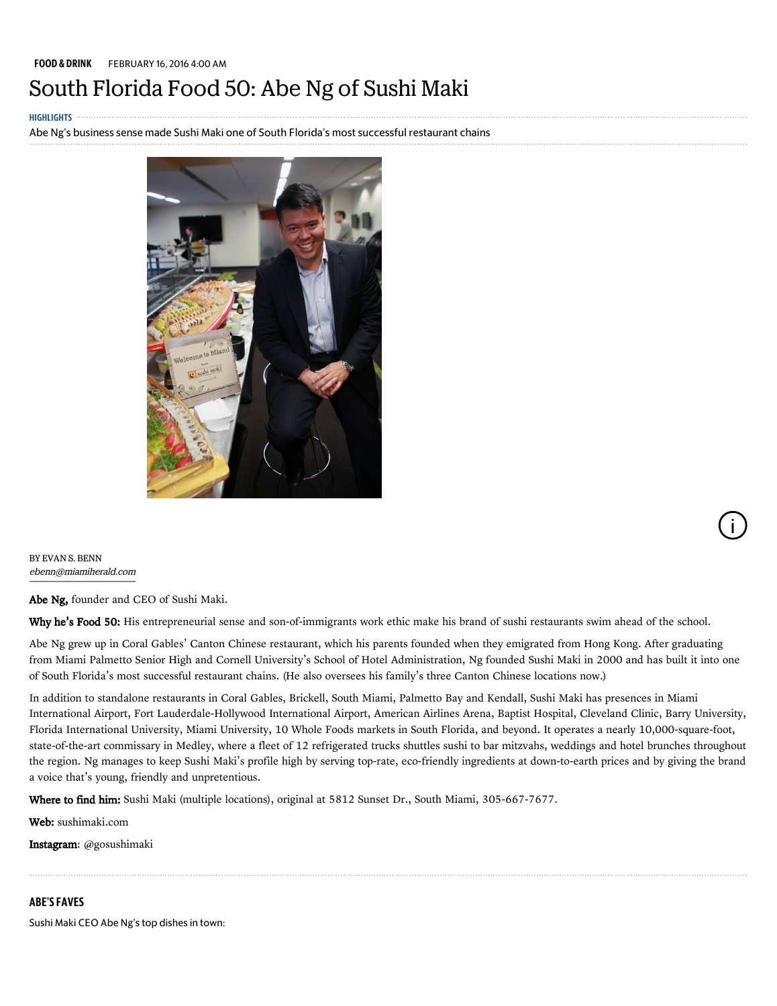# South Florida Food 50: Abe Ng of Sushi Maki

#### **HIGHLIGHTS**

Abe Ng's business sense made Sushi Maki one of South Florida's most successful restaurant chains



BY EVAN S. BENN [ebenn@miamiherald.com](mailto:ebenn@miamiherald.com)

Abe Ng, founder and CEO of Sushi Maki.

Why he's Food 50: His entrepreneurial sense and son-of-immigrants work ethic make his brand of sushi restaurants swim ahead of the school.

Abe Ng grew up in Coral Gables' [Canton](http://cantonrestaurants.com/) Chinese restaurant, which his parents founded when they emigrated from Hong Kong. After graduating from Miami Palmetto Senior High and Cornell University's School of Hotel Administration, Ng founded Sushi Maki in 2000 and has built it into one of South Florida's most successful restaurant chains. (He also oversees his family's three Canton [Chinese](http://cantonrestaurants.com/) locations now.)

İ.

In addition to standalone restaurants in Coral Gables, Brickell, South Miami, Palmetto Bay and Kendall, Sushi Maki has presences in Miami International Airport, Fort Lauderdale-Hollywood International Airport, American Airlines Arena, Baptist Hospital, Cleveland Clinic, Barry University, Florida International University, Miami University, 10 Whole Foods markets in South Florida, and beyond. It operates a nearly 10,000-square-foot, state-of-the-art commissary in Medley, where a fleet of 12 refrigerated trucks shuttles sushi to bar mitzvahs, weddings and hotel brunches throughout the region. Ng manages to keep Sushi Maki's profile high by serving top-rate, eco-friendly ingredients at down-to-earth prices and by giving the brand a voice that's young, friendly and unpretentious.

Where to find him: Sushi Maki (multiple locations), original at 5812 Sunset Dr., South Miami, 305-667-7677.

Web: [sushimaki.com](http://www.sushimaki.com/)

Instagram: [@gosushimaki](https://www.instagram.com/gosushimaki/)

### ABE'S FAVES

Sushi Maki CEO Abe Ng's top dishes in town: